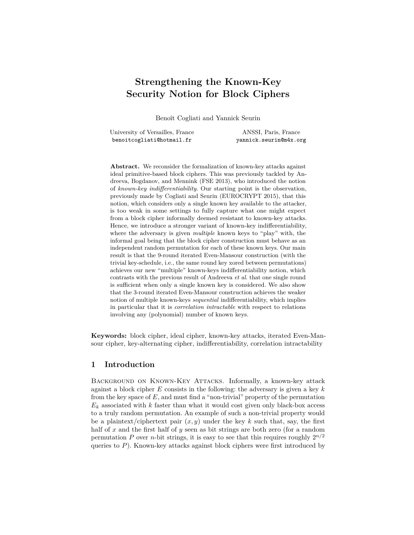# **Strengthening the Known-Key Security Notion for Block Ciphers**

Benoît Cogliati and Yannick Seurin

University of Versailles, France ANSSI, Paris, France benoitcogliati@hotmail.fr yannick.seurin@m4x.org

**Abstract.** We reconsider the formalization of known-key attacks against ideal primitive-based block ciphers. This was previously tackled by Andreeva, Bogdanov, and Mennink (FSE 2013), who introduced the notion of *known-key indifferentiability*. Our starting point is the observation, previously made by Cogliati and Seurin (EUROCRYPT 2015), that this notion, which considers only a single known key available to the attacker, is too weak in some settings to fully capture what one might expect from a block cipher informally deemed resistant to known-key attacks. Hence, we introduce a stronger variant of known-key indifferentiability, where the adversary is given *multiple* known keys to "play" with, the informal goal being that the block cipher construction must behave as an independent random permutation for each of these known keys. Our main result is that the 9-round iterated Even-Mansour construction (with the trivial key-schedule, i.e., the same round key xored between permutations) achieves our new "multiple" known-keys indifferentiability notion, which contrasts with the previous result of Andreeva *et al.* that one single round is sufficient when only a single known key is considered. We also show that the 3-round iterated Even-Mansour construction achieves the weaker notion of multiple known-keys *sequential* indifferentiability, which implies in particular that it is *correlation intractable* with respect to relations involving any (polynomial) number of known keys.

**Keywords:** block cipher, ideal cipher, known-key attacks, iterated Even-Mansour cipher, key-alternating cipher, indifferentiability, correlation intractability

## <span id="page-0-0"></span>**1 Introduction**

Background on Known-Key Attacks. Informally, a known-key attack against a block cipher *E* consists in the following: the adversary is given a key *k* from the key space of *E*, and must find a "non-trivial" property of the permutation  $E_k$  associated with  $k$  faster than what it would cost given only black-box access to a truly random permutation. An example of such a non-trivial property would be a plaintext/ciphertext pair  $(x, y)$  under the key  $k$  such that, say, the first half of *x* and the first half of *y* seen as bit strings are both zero (for a random permutation P over *n*-bit strings, it is easy to see that this requires roughly  $2^{n/2}$ queries to  $P$ ). Known-key attacks against block ciphers were first introduced by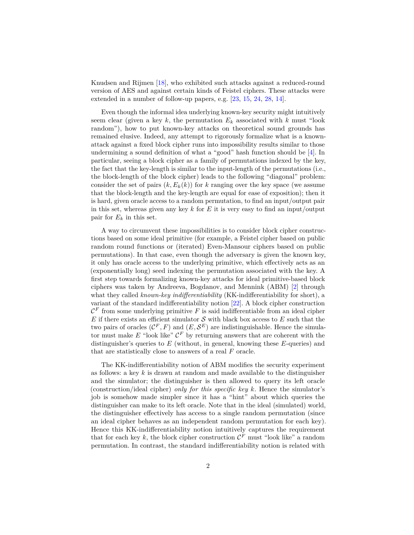Knudsen and Rijmen [\[18\]](#page-19-0), who exhibited such attacks against a reduced-round version of AES and against certain kinds of Feistel ciphers. These attacks were extended in a number of follow-up papers, e.g. [\[23,](#page-19-1) [15,](#page-18-0) [24,](#page-19-2) [28,](#page-19-3) [14\]](#page-18-1).

Even though the informal idea underlying known-key security might intuitively seem clear (given a key  $k$ , the permutation  $E_k$  associated with  $k$  must "look random"), how to put known-key attacks on theoretical sound grounds has remained elusive. Indeed, any attempt to rigorously formalize what is a knownattack against a fixed block cipher runs into impossibility results similar to those undermining a sound definition of what a "good" hash function should be [\[4\]](#page-18-2). In particular, seeing a block cipher as a family of permutations indexed by the key, the fact that the key-length is similar to the input-length of the permutations (i.e., the block-length of the block cipher) leads to the following "diagonal" problem: consider the set of pairs  $(k, E_k(k))$  for *k* ranging over the key space (we assume that the block-length and the key-length are equal for ease of exposition); then it is hard, given oracle access to a random permutation, to find an input/output pair in this set, whereas given any key *k* for *E* it is very easy to find an input/output pair for  $E_k$  in this set.

A way to circumvent these impossibilities is to consider block cipher constructions based on some ideal primitive (for example, a Feistel cipher based on public random round functions or (iterated) Even-Mansour ciphers based on public permutations). In that case, even though the adversary is given the known key, it only has oracle access to the underlying primitive, which effectively acts as an (exponentially long) seed indexing the permutation associated with the key. A first step towards formalizing known-key attacks for ideal primitive-based block ciphers was taken by Andreeva, Bogdanov, and Mennink (ABM) [\[2\]](#page-17-0) through what they called *known-key indifferentiability* (KK-indifferentiability for short), a variant of the standard indifferentiability notion [\[22\]](#page-19-4). A block cipher construction  $\mathcal{C}^F$  from some underlying primitive  $F$  is said indifferentiable from an ideal cipher  $E$  if there exists an efficient simulator  $S$  with black box access to  $E$  such that the two pairs of oracles  $(C^F, F)$  and  $(E, \mathcal{S}^E)$  are indistinguishable. Hence the simulator must make  $E$  "look like"  $\mathcal{C}^F$  by returning answers that are coherent with the distinguisher's queries to *E* (without, in general, knowing these *E*-queries) and that are statistically close to answers of a real *F* oracle.

The KK-indifferentiability notion of ABM modifies the security experiment as follows: a key *k* is drawn at random and made available to the distinguisher and the simulator; the distinguisher is then allowed to query its left oracle (construction/ideal cipher) *only for this specific key k*. Hence the simulator's job is somehow made simpler since it has a "hint" about which queries the distinguisher can make to its left oracle. Note that in the ideal (simulated) world, the distinguisher effectively has access to a single random permutation (since an ideal cipher behaves as an independent random permutation for each key). Hence this KK-indifferentiability notion intuitively captures the requirement that for each key k, the block cipher construction  $\mathcal{C}^F$  must "look like" a random permutation. In contrast, the standard indifferentiability notion is related with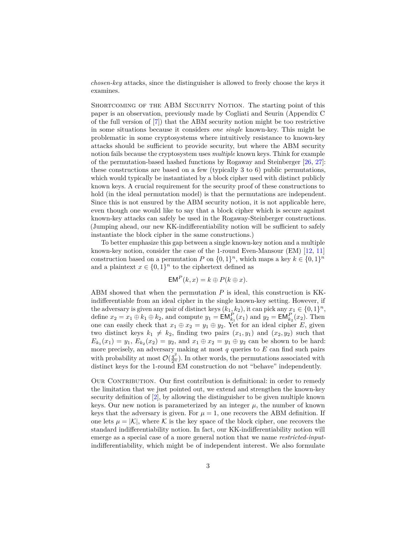*chosen-key* attacks, since the distinguisher is allowed to freely choose the keys it examines.

SHORTCOMING OF THE ABM SECURITY NOTION. The starting point of this paper is an observation, previously made by Cogliati and Seurin (Appendix C of the full version of [\[7\]](#page-18-3)) that the ABM security notion might be too restrictive in some situations because it considers *one single* known-key. This might be problematic in some cryptosystems where intuitively resistance to known-key attacks should be sufficient to provide security, but where the ABM security notion fails because the cryptosystem uses *multiple* known keys. Think for example of the permutation-based hashed functions by Rogaway and Steinberger [\[26,](#page-19-5) [27\]](#page-19-6): these constructions are based on a few (typically 3 to 6) public permutations, which would typically be instantiated by a block cipher used with distinct publicly known keys. A crucial requirement for the security proof of these constructions to hold (in the ideal permutation model) is that the permutations are independent. Since this is not ensured by the ABM security notion, it is not applicable here, even though one would like to say that a block cipher which is secure against known-key attacks can safely be used in the Rogaway-Steinberger constructions. (Jumping ahead, our new KK-indifferentiability notion will be sufficient to safely instantiate the block cipher in the same constructions.)

To better emphasize this gap between a single known-key notion and a multiple known-key notion, consider the case of the 1-round Even-Mansour (EM) [\[12,](#page-18-4) [11\]](#page-18-5) construction based on a permutation *P* on  $\{0,1\}^n$ , which maps a key  $k \in \{0,1\}^n$ and a plaintext  $x \in \{0,1\}^n$  to the ciphertext defined as

$$
EMP(k, x) = k \oplus P(k \oplus x).
$$

ABM showed that when the permutation *P* is ideal, this construction is KKindifferentiable from an ideal cipher in the single known-key setting. However, if the adversary is given any pair of distinct keys  $(k_1, k_2)$ , it can pick any  $x_1 \in \{0, 1\}^n$ , define  $x_2 = x_1 \oplus k_1 \oplus k_2$ , and compute  $y_1 = \text{EM}_{k_1}^P(x_1)$  and  $y_2 = \text{EM}_{k_2}^P(x_2)$ . Then one can easily check that  $x_1 \oplus x_2 = y_1 \oplus y_2$ . Yet for an ideal cipher *E*, given two distinct keys  $k_1 \neq k_2$ , finding two pairs  $(x_1, y_1)$  and  $(x_2, y_2)$  such that  $E_{k_1}(x_1) = y_1, E_{k_2}(x_2) = y_2$ , and  $x_1 \oplus x_2 = y_1 \oplus y_2$  can be shown to be hard: more precisely, an adversary making at most *q* queries to *E* can find such pairs with probability at most  $\mathcal{O}(\frac{q^2}{2^n})$ . In other words, the permutations associated with distinct keys for the 1-round EM construction do not "behave" independently.

Our Contribution. Our first contribution is definitional: in order to remedy the limitation that we just pointed out, we extend and strengthen the known-key security definition of [\[2\]](#page-17-0), by allowing the distinguisher to be given multiple known keys. Our new notion is parameterized by an integer  $\mu$ , the number of known keys that the adversary is given. For  $\mu = 1$ , one recovers the ABM definition. If one lets  $\mu = |\mathcal{K}|$ , where  $\mathcal K$  is the key space of the block cipher, one recovers the standard indifferentiability notion. In fact, our KK-indifferentiability notion will emerge as a special case of a more general notion that we name *restricted-input*indifferentiability, which might be of independent interest. We also formulate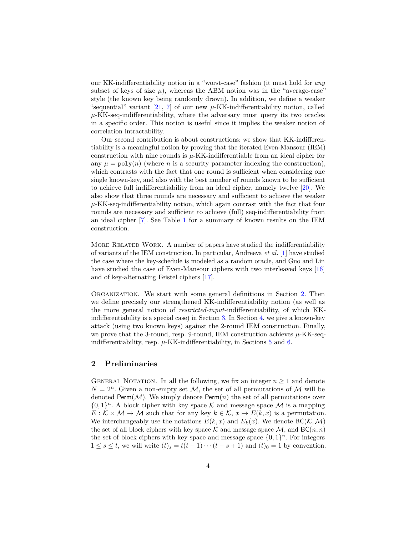our KK-indifferentiability notion in a "worst-case" fashion (it must hold for *any* subset of keys of size  $\mu$ ), whereas the ABM notion was in the "average-case" style (the known key being randomly drawn). In addition, we define a weaker "sequential" variant  $[21, 7]$  $[21, 7]$  $[21, 7]$  of our new  $\mu$ -KK-indifferentiability notion, called  $\mu$ -KK-seq-indifferentiability, where the adversary must query its two oracles in a specific order. This notion is useful since it implies the weaker notion of correlation intractability.

Our second contribution is about constructions: we show that KK-indifferentiability is a meaningful notion by proving that the iterated Even-Mansour (IEM) construction with nine rounds is *µ*-KK-indifferentiable from an ideal cipher for any  $\mu = \text{poly}(n)$  (where *n* is a security parameter indexing the construction), which contrasts with the fact that one round is sufficient when considering one single known-key, and also with the best number of rounds known to be sufficient to achieve full indifferentiability from an ideal cipher, namely twelve [\[20\]](#page-19-8). We also show that three rounds are necessary and sufficient to achieve the weaker *µ*-KK-seq-indifferentiability notion, which again contrast with the fact that four rounds are necessary and sufficient to achieve (full) seq-indifferentiability from an ideal cipher [\[7\]](#page-18-3). See Table [1](#page-4-0) for a summary of known results on the IEM construction.

MORE RELATED WORK. A number of papers have studied the indifferentiability of variants of the IEM construction. In particular, Andreeva *et al.* [\[1\]](#page-17-1) have studied the case where the key-schedule is modeled as a random oracle, and Guo and Lin have studied the case of Even-Mansour ciphers with two interleaved keys [\[16\]](#page-18-6) and of key-alternating Feistel ciphers [\[17\]](#page-18-7).

Organization. We start with some general definitions in Section [2.](#page-3-0) Then we define precisely our strengthened KK-indifferentiability notion (as well as the more general notion of *restricted-input*-indifferentiability, of which KKindifferentiability is a special case) in Section [3.](#page-5-0) In Section [4,](#page-11-0) we give a known-key attack (using two known keys) against the 2-round IEM construction. Finally, we prove that the 3-round, resp. 9-round, IEM construction achieves *µ*-KK-seqindifferentiability, resp.  $\mu$ -KK-indifferentiability, in Sections [5](#page-13-0) and [6.](#page-15-0)

# <span id="page-3-0"></span>**2 Preliminaries**

GENERAL NOTATION. In all the following, we fix an integer  $n \geq 1$  and denote  $N = 2^n$ . Given a non-empty set M, the set of all permutations of M will be denoted Perm $(M)$ . We simply denote Perm $(n)$  the set of all permutations over  $\{0,1\}^n$ . A block cipher with key space K and message space M is a mapping  $E: \mathcal{K} \times \mathcal{M} \to \mathcal{M}$  such that for any key  $k \in \mathcal{K}, x \mapsto E(k, x)$  is a permutation. We interchangeably use the notations  $E(k, x)$  and  $E_k(x)$ . We denote  $BC(K, \mathcal{M})$ the set of all block ciphers with key space K and message space  $\mathcal{M}$ , and  $BC(n, n)$ the set of block ciphers with key space and message space  $\{0,1\}^n$ . For integers 1 ≤ *s* ≤ *t*, we will write  $(t)_s = t(t-1)\cdots(t-s+1)$  and  $(t)_0 = 1$  by convention.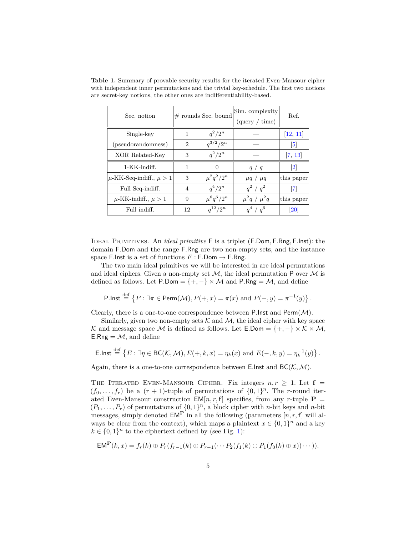| Sec. notion                      |                | $\#$ rounds Sec. bound | Sim. complexity<br>$(\text{query} / \text{time})$ | Ref.            |
|----------------------------------|----------------|------------------------|---------------------------------------------------|-----------------|
| Single-key                       | 1              | $q^2/2^n$              |                                                   | [12, 11]        |
| (pseudorandomness)               | $\overline{2}$ | $q^{3/2}/2^n$          |                                                   | $\vert 5 \vert$ |
| XOR Related-Key                  | 3              | $q^2/2^n$              |                                                   | [7, 13]         |
| 1-KK-indiff.                     | 1              | $\Omega$               | $q \, / \, q$                                     | 2               |
| $\mu$ -KK-Seq-indiff., $\mu > 1$ | 3              | $\mu^2 q^2 / 2^n$      | $\mu q$ / $\mu q$                                 | this paper      |
| Full Seq-indiff.                 | $\overline{4}$ | $q^4/2^n$              | $q^2 / q^2$                                       | 7               |
| $\mu$ -KK-indiff., $\mu > 1$     | 9              | $\mu^{6} q^{6}/2^{n}$  | $\mu^2 q / \mu^2 q$                               | this paper      |
| Full indiff.                     | 12             | $q^{12}/2^n$           | $q^4 / q^6$                                       | 20              |

<span id="page-4-0"></span>**Table 1.** Summary of provable security results for the iterated Even-Mansour cipher with independent inner permutations and the trivial key-schedule. The first two notions are secret-key notions, the other ones are indifferentiability-based.

Ideal Primitives. An *ideal primitive* F is a triplet (F*.*Dom*,* F*.*Rng*,* F*.*Inst): the domain F*.*Dom and the range F*.*Rng are two non-empty sets, and the instance space F.lnst is a set of functions  $F : F.D$ om  $\rightarrow$  F.Rng.

The two main ideal primitives we will be interested in are ideal permutations and ideal ciphers. Given a non-empty set  $M$ , the ideal permutation P over  $M$  is defined as follows. Let  $P$ *.Dom* = {+, -}  $\times$  *M* and  $P$ *.Rng* = *M*, and define

P.  
Inst 
$$
\stackrel{\text{def}}{=} \{P : \exists \pi \in \text{Perm}(\mathcal{M}), P(+, x) = \pi(x) \text{ and } P(-, y) = \pi^{-1}(y)\}.
$$

Clearly, there is a one-to-one correspondence between  $P$ *.Inst and*  $Perm(M)$ *.* 

Similarly, given two non-empty sets  $K$  and  $M$ , the ideal cipher with key space K and message space M is defined as follows. Let  $E.Dom = \{+, -\} \times K \times M$ ,  $E.Rng = M$ , and define

E.Inst  $\stackrel{\text{def}}{=} \{E : \exists \eta \in BC(\mathcal{K}, \mathcal{M}), E(+, k, x) = \eta_k(x) \text{ and } E(-, k, y) = \eta_k^{-1}(y)\}.$ 

Again, there is a one-to-one correspondence between E.lnst and  $BC(K, M)$ .

THE ITERATED EVEN-MANSOUR CIPHER. Fix integers  $n, r \geq 1$ . Let  $f =$  $(f_0, \ldots, f_r)$  be a  $(r + 1)$ -tuple of permutations of  $\{0, 1\}^n$ . The *r*-round iterated Even-Mansour construction  $EM[n, r, f]$  specifies, from any *r*-tuple  $P =$  $(P_1, \ldots, P_r)$  of permutations of  $\{0, 1\}^n$ , a block cipher with *n*-bit keys and *n*-bit messages, simply denoted  $EM<sup>P</sup>$  in all the following (parameters  $[n, r, f]$  will always be clear from the context), which maps a plaintext  $x \in \{0,1\}^n$  and a key  $k \in \{0,1\}^n$  to the ciphertext defined by (see Fig. [1\)](#page-5-1):

$$
EMP(k, x) = fr(k) \oplus Pr(fr-1(k) \oplus Pr-1(\cdots P2(f1(k) \oplus P1(f0(k) \oplus x)) \cdots)).
$$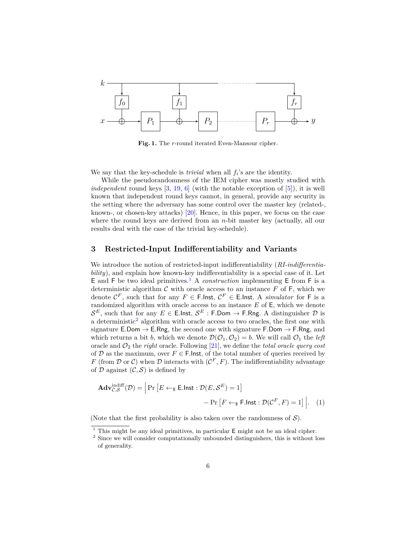

<span id="page-5-1"></span>**Fig. 1.** The *r*-round iterated Even-Mansour cipher.

We say that the key-schedule is *trivial* when all *f<sup>i</sup>* 's are the identity.

While the pseudorandomness of the IEM cipher was mostly studied with *independent* round keys [\[3,](#page-18-10) [19,](#page-19-9) [6\]](#page-18-11) (with the notable exception of [\[5\]](#page-18-8)), it is well known that independent round keys cannot, in general, provide any security in the setting where the adversary has some control over the master key (related-, known-, or chosen-key attacks) [\[20\]](#page-19-8). Hence, in this paper, we focus on the case where the round keys are derived from an *n*-bit master key (actually, all our results deal with the case of the trivial key-schedule).

## <span id="page-5-0"></span>**3 Restricted-Input Indifferentiability and Variants**

We introduce the notion of restricted-input indifferentiability (*RI-indifferentiability*), and explain how known-key indifferentiability is a special case of it. Let  $E$  and  $F$  be two ideal primitives.<sup>[1](#page-5-2)</sup> A *construction* implementing  $E$  from  $F$  is a deterministic algorithm  $\mathcal C$  with oracle access to an instance  $F$  of  $F$ , which we denote  $\mathcal{C}^F$ , such that for any  $F \in \mathsf{F}$ .Inst,  $\mathcal{C}^F \in \mathsf{E}$ .Inst. A *simulator* for  $\mathsf F$  is a randomized algorithm with oracle access to an instance *E* of E, which we denote  $\mathcal{S}^E$ , such that for any  $E \in \mathsf{E}.{\sf Inst}, \, \mathcal{S}^E : \mathsf{F}.{\sf Dom} \to \mathsf{F}.{\sf Rng}.$  A distinguisher  $\mathcal D$  is a deterministic<sup>[2](#page-5-3)</sup> algorithm with oracle access to two oracles, the first one with signature **E**.Dom  $\rightarrow$  **E**.Rng, the second one with signature **F**.Dom  $\rightarrow$  **F**.Rng, and which returns a bit *b*, which we denote  $\mathcal{D}(\mathcal{O}_1, \mathcal{O}_2) = b$ . We will call  $\mathcal{O}_1$  the *left* oracle and  $\mathcal{O}_2$  the *right* oracle. Following [\[21\]](#page-19-7), we define the *total oracle query cost* of  $D$  as the maximum, over  $F \in$  **F**.lnst, of the total number of queries received by *F* (from  $\mathcal{D}$  or  $\mathcal{C}$ ) when  $\mathcal{D}$  interacts with  $(\mathcal{C}^F, F)$ . The indifferentiability advantage of  $D$  against  $(C, S)$  is defined by

<span id="page-5-4"></span>
$$
\mathbf{Adv}_{\mathcal{C},\mathcal{S}}^{\text{indiff}}(\mathcal{D}) = \left| \Pr \left[ E \leftarrow_{\$} \mathsf{E}.\mathsf{Inst} : \mathcal{D}(E, \mathcal{S}^E) = 1 \right] \right. \\ \left. \qquad \qquad \left. - \Pr \left[ F \leftarrow_{\$} \mathsf{F}.\mathsf{Inst} : \mathcal{D}(\mathcal{C}^F, F) = 1 \right] \right|. \quad (1)
$$

(Note that the first probability is also taken over the randomness of  $\mathcal{S}$ ).

<span id="page-5-2"></span> $1$  This might be any ideal primitives, in particular  $E$  might not be an ideal cipher.

<span id="page-5-3"></span><sup>&</sup>lt;sup>2</sup> Since we will consider computationally unbounded distinguishers, this is without loss of generality.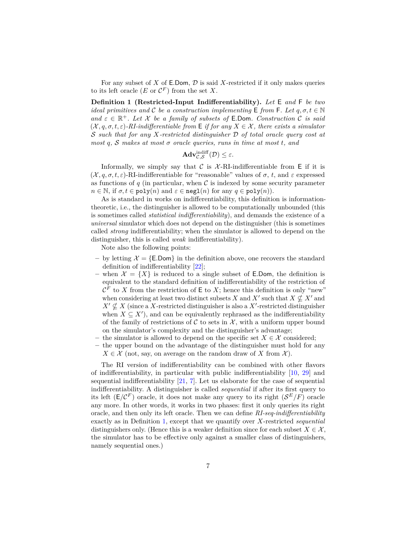For any subset of *X* of E*.*Dom, D is said *X*-restricted if it only makes queries to its left oracle  $(E \text{ or } C^F)$  from the set X.

<span id="page-6-0"></span>**Definition 1 (Restricted-Input Indifferentiability).** *Let* E *and* F *be two ideal primitives and* C *be a construction implementing*  $E$  *from*  $F$ *. Let*  $q, \sigma, t \in \mathbb{N}$ *and*  $\varepsilon \in \mathbb{R}^+$ *. Let*  $\mathcal X$  *be a family of subsets of* E.Dom*. Construction*  $\mathcal C$  *is said*  $(X, q, \sigma, t, \varepsilon)$ -RI-indifferentiable from E if for any  $X \in \mathcal{X}$ , there exists a simulator S *such that for any X-restricted distinguisher* D *of total oracle query cost at most q,* S *makes at most σ oracle queries, runs in time at most t, and*

$$
\mathbf{Adv}_{\mathcal{C},\mathcal{S}}^{\text{indiff}}(\mathcal{D}) \leq \varepsilon.
$$

Informally, we simply say that  $\mathcal C$  is  $\mathcal X$ -RI-indifferentiable from E if it is  $(\mathcal{X}, q, \sigma, t, \varepsilon)$ -RI-indifferentiable for "reasonable" values of  $\sigma$ ,  $t$ , and  $\varepsilon$  expressed as functions of  $q$  (in particular, when  $\mathcal C$  is indexed by some security parameter  $n \in \mathbb{N}$ , if  $\sigma, t \in \text{poly}(n)$  and  $\varepsilon \in \text{negl}(n)$  for any  $q \in \text{poly}(n)$ .

As is standard in works on indifferentiability, this definition is informationtheoretic, i.e., the distinguisher is allowed to be computationally unbounded (this is sometimes called *statistical indifferentiability*), and demands the existence of a *universal* simulator which does not depend on the distinguisher (this is sometimes called *strong* indifferentiability; when the simulator is allowed to depend on the distinguisher, this is called *weak* indifferentiability).

Note also the following points:

- by letting  $\mathcal{X} = \{E.Dom\}$  in the definition above, one recovers the standard definition of indifferentiability [\[22\]](#page-19-4);
- when  $\mathcal{X} = \{X\}$  is reduced to a single subset of **E.Dom**, the definition is equivalent to the standard definition of indifferentiability of the restriction of  $\mathcal{C}^F$  to *X* from the restriction of  $E$  to *X*; hence this definition is only "new" when considering at least two distinct subsets *X* and *X'* such that  $X \nsubseteq X'$  and  $X' \nsubseteq X$  (since a *X*-restricted distinguisher is also a *X*<sup> $\prime$ </sup>-restricted distinguisher when  $X \subseteq X'$ , and can be equivalently rephrased as the indifferentiability of the family of restrictions of  $\mathcal C$  to sets in  $\mathcal X$ , with a uniform upper bound on the simulator's complexity and the distinguisher's advantage;
- **–** the simulator is allowed to depend on the specific set *X* ∈ X considered;
- **–** the upper bound on the advantage of the distinguisher must hold for any  $X \in \mathcal{X}$  (not, say, on average on the random draw of *X* from  $\mathcal{X}$ ).

The RI version of indifferentiability can be combined with other flavors of indifferentiability, in particular with public indifferentiability [\[10,](#page-18-12) [29\]](#page-19-10) and sequential indifferentiability [\[21,](#page-19-7) [7\]](#page-18-3). Let us elaborate for the case of sequential indifferentiability. A distinguisher is called *sequential* if after its first query to its left  $(E/\mathcal{C}^F)$  oracle, it does not make any query to its right  $(\mathcal{S}^E/F)$  oracle any more. In other words, it works in two phases: first it only queries its right oracle, and then only its left oracle. Then we can define *RI-seq-indifferentiability* exactly as in Definition [1,](#page-6-0) except that we quantify over *X*-restricted *sequential* distinguishers only. (Hence this is a weaker definition since for each subset  $X \in \mathcal{X}$ , the simulator has to be effective only against a smaller class of distinguishers, namely sequential ones.)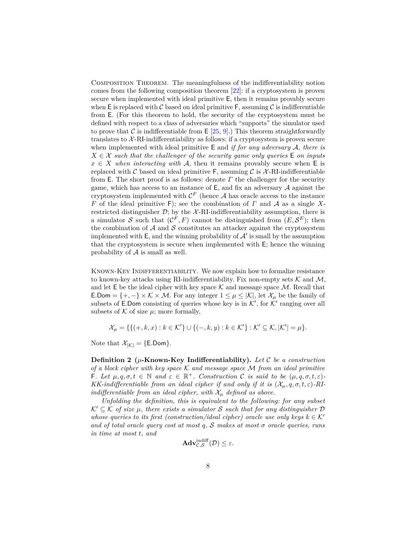Composition Theorem. The meaningfulness of the indifferentiability notion comes from the following composition theorem [\[22\]](#page-19-4): if a cryptosystem is proven secure when implemented with ideal primitive E, then it remains provably secure when E is replaced with  $\mathcal C$  based on ideal primitive F, assuming  $\mathcal C$  is indifferentiable from E. (For this theorem to hold, the security of the cryptosystem must be defined with respect to a class of adversaries which "supports" the simulator used to prove that C is indifferentiable from  $E(25, 9)$ . This theorem straightforwardly translates to  $X$ -RI-indifferentiability as follows: if a cryptosystem is proven secure when implemented with ideal primitive E and *if for any adversary* A*, there is*  $X \in \mathcal{X}$  *such that the challenger of the security game only queries*  $\mathsf{E}$  *on inputs*  $x \in X$  *when interacting with* A, then it remains provably secure when E is replaced with C based on ideal primitive  $\mathsf F$ , assuming C is X-RI-indifferentiable from E. The short proof is as follows: denote *Γ* the challenger for the security game, which has access to an instance of  $E$ , and fix an adversary  $A$  against the cryptosystem implemented with  $\mathcal{C}^F$  (hence A has oracle access to the instance *F* of the ideal primitive F); see the combination of *Γ* and A as a single *X*restricted distinguisher  $\mathcal{D}$ ; by the  $\mathcal{X}-\mathrm{RI}\text{-}\mathrm{indifferentiability}$  assumption, there is a simulator S such that  $(C^F, F)$  cannot be distinguished from  $(E, S^E)$ ; then the combination of  $A$  and  $S$  constitutes an attacker against the cryptosystem implemented with  $E$ , and the winning probability of  $A'$  is small by the assumption that the cryptosystem is secure when implemented with E; hence the winning probability of  $A$  is small as well.

KNOWN-KEY INDIFFERENTIABILITY. We now explain how to formalize resistance to known-key attacks using RI-indifferentiability. Fix non-empty sets  $K$  and  $M$ , and let  $E$  be the ideal cipher with key space  $K$  and message space  $M$ . Recall that E.Dom = {+, −} × K × M. For any integer  $1 \leq \mu \leq |\mathcal{K}|$ , let  $\mathcal{X}_{\mu}$  be the family of subsets of E.Dom consisting of queries whose key is in  $K'$ , for  $K'$  ranging over all subsets of  $K$  of size  $\mu$ ; more formally,

$$
\mathcal{X}_{\mu} = \{ \{ (+,k,x) : k \in \mathcal{K}' \} \cup \{ (-,k,y) : k \in \mathcal{K}' \} : \mathcal{K}' \subseteq \mathcal{K}, |\mathcal{K}'| = \mu \}.
$$

<span id="page-7-0"></span>Note that  $\mathcal{X}_{|\mathcal{K}|} = \{\text{E.Dom}\}.$ 

**Definition 2 (***µ***-Known-Key Indifferentiability).** *Let* C *be a construction of a block cipher with key space* K *and message space* M *from an ideal primitive* F. Let  $\mu, q, \sigma, t \in \mathbb{N}$  and  $\varepsilon \in \mathbb{R}^+$ . Construction C is said to be  $(\mu, q, \sigma, t, \varepsilon)$ *KK*-indifferentiable from an ideal cipher if and only if it is  $(\mathcal{X}_{\mu}, q, \sigma, t, \varepsilon)$ -RI*indifferentiable from an ideal cipher, with*  $\mathcal{X}_{\mu}$  *defined as above.* 

*Unfolding the definition, this is equivalent to the following: for any subset*  $\mathcal{K}' \subseteq \mathcal{K}$  *of size*  $\mu$ *, there exists a simulator* S *such that for any distinguisher* D *whose queries to its first (construction/ideal cipher) oracle use only keys*  $k \in \mathcal{K}'$ *and of total oracle query cost at most q,* S *makes at most σ oracle queries, runs in time at most t, and*

$$
\mathbf{Adv}_{\mathcal{C},\mathcal{S}}^{\text{indiff}}(\mathcal{D}) \leq \varepsilon.
$$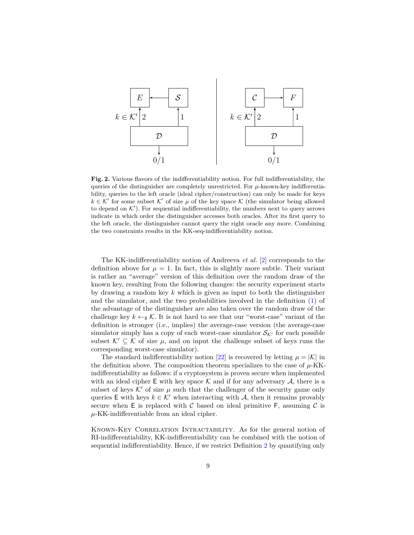

<span id="page-8-0"></span>**Fig. 2.** Various flavors of the indifferentiability notion. For full indifferentiability, the queries of the distinguisher are completely unrestricted. For  $\mu$ -known-key indifferentiability, queries to the left oracle (ideal cipher/construction) can only be made for keys  $k \in \mathcal{K}'$  for some subset  $\mathcal{K}'$  of size  $\mu$  of the key space K (the simulator being allowed to depend on  $K'$ ). For sequential indifferentiability, the numbers next to query arrows indicate in which order the distinguisher accesses both oracles. After its first query to the left oracle, the distinguisher cannot query the right oracle any more. Combining the two constraints results in the KK-seq-indifferentiability notion.

The KK-indifferentiability notion of Andreeva *et al.* [\[2\]](#page-17-0) corresponds to the definition above for  $\mu = 1$ . In fact, this is slightly more subtle. Their variant is rather an "average" version of this definition over the random draw of the known key, resulting from the following changes: the security experiment starts by drawing a random key *k* which is given as input to both the distinguisher and the simulator, and the two probabilities involved in the definition [\(1\)](#page-5-4) of the advantage of the distinguisher are also taken over the random draw of the challenge key  $k \leftarrow s \mathcal{K}$ . It is not hard to see that our "worst-case" variant of the definition is stronger (i.e., implies) the average-case version (the average-case simulator simply has a copy of each worst-case simulator  $\mathcal{S}_{K'}$  for each possible subset  $K' \subseteq K$  of size  $\mu$ , and on input the challenge subset of keys runs the corresponding worst-case simulator).

The standard indifferentiability notion [\[22\]](#page-19-4) is recovered by letting  $\mu = |\mathcal{K}|$  in the definition above. The composition theorem specializes to the case of  $\mu$ -KKindifferentiability as follows: if a cryptosystem is proven secure when implemented with an ideal cipher E with key space  $\mathcal K$  and if for any adversary  $\mathcal A$ , there is a subset of keys  $K'$  of size  $\mu$  such that the challenger of the security game only queries E with keys  $k \in \mathcal{K}'$  when interacting with A, then it remains provably secure when  $E$  is replaced with C based on ideal primitive  $F$ , assuming C is *µ*-KK-indifferentiable from an ideal cipher.

Known-Key Correlation Intractability. As for the general notion of RI-indifferentiability, KK-indifferentiability can be combined with the notion of sequential indifferentiability. Hence, if we restrict Definition [2](#page-7-0) by quantifying only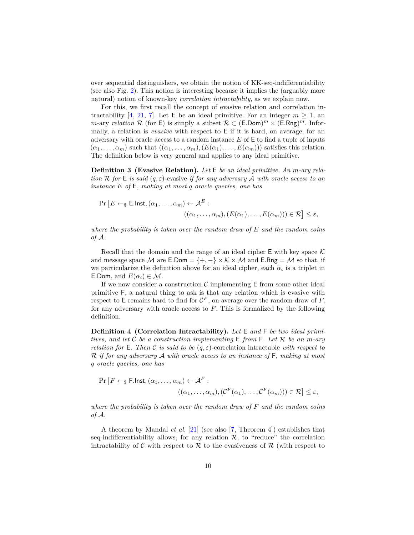over sequential distinguishers, we obtain the notion of KK-seq-indifferentiability (see also Fig. [2\)](#page-8-0). This notion is interesting because it implies the (arguably more natural) notion of known-key *correlation intractability*, as we explain now.

For this, we first recall the concept of evasive relation and correlation in-tractability [\[4,](#page-18-2) [21,](#page-19-7) [7\]](#page-18-3). Let E be an ideal primitive. For an integer  $m \geq 1$ , an *m*-ary *relation*  $\mathcal{R}$  (for **E**) is simply a subset  $\mathcal{R} \subset (\mathsf{E}.\mathsf{Dom})^m \times (\mathsf{E}.\mathsf{Rng})^m$ . Informally, a relation is *evasive* with respect to E if it is hard, on average, for an adversary with oracle access to a random instance *E* of E to find a tuple of inputs  $(\alpha_1, \ldots, \alpha_m)$  such that  $((\alpha_1, \ldots, \alpha_m), (E(\alpha_1), \ldots, E(\alpha_m)))$  satisfies this relation. The definition below is very general and applies to any ideal primitive.

**Definition 3 (Evasive Relation).** *Let* E *be an ideal primitive. An m-ary relation*  $\mathcal{R}$  *for*  $\mathsf{E}$  *is said*  $(q, \varepsilon)$ -evasive *if for any adversary*  $\mathcal{A}$  *with oracle access to an instance E of* E*, making at most q oracle queries, one has*

$$
\Pr\left[E \leftarrow_{\$} \mathsf{E}.\mathsf{Inst},(\alpha_1,\ldots,\alpha_m) \leftarrow \mathcal{A}^E: \\ ((\alpha_1,\ldots,\alpha_m), (E(\alpha_1),\ldots,E(\alpha_m))) \in \mathcal{R}\right] \leq \varepsilon,
$$

*where the probability is taken over the random draw of E and the random coins of* A*.*

Recall that the domain and the range of an ideal cipher  $E$  with key space  $K$ and message space M are **E**.Dom =  $\{+, -\} \times \mathcal{K} \times \mathcal{M}$  and **E**.Rng = M so that, if we particularize the definition above for an ideal cipher, each  $\alpha_i$  is a triplet in E.Dom, and  $E(\alpha_i) \in \mathcal{M}$ .

If we now consider a construction  $\mathcal C$  implementing  $\mathsf E$  from some other ideal primitive F, a natural thing to ask is that any relation which is evasive with respect to  $E$  remains hard to find for  $\mathcal{C}^F$ , on average over the random draw of  $F$ , for any adversary with oracle access to *F*. This is formalized by the following definition.

**Definition 4 (Correlation Intractability).** *Let* E *and* F *be two ideal primitives, and let* C *be a construction implementing* E *from* F*. Let* R *be an m-ary relation for* **E**. Then C *is said to be*  $(q, \varepsilon)$ -correlation intractable *with respect to* R *if for any adversary* A *with oracle access to an instance of* F*, making at most q oracle queries, one has*

$$
\Pr\left[F \leftarrow_{\$} \mathsf{F}.\mathsf{Inst},(\alpha_1,\ldots,\alpha_m) \leftarrow \mathcal{A}^F:\tag{(\alpha_1,\ldots,\alpha_m),(\mathcal{C}^F(\alpha_1),\ldots,\mathcal{C}^F(\alpha_m))) \in \mathcal{R}\right] \leq \varepsilon,
$$

*where the probability is taken over the random draw of F and the random coins of* A*.*

A theorem by Mandal *et al.* [\[21\]](#page-19-7) (see also [\[7,](#page-18-3) Theorem 4]) establishes that seq-indifferentiability allows, for any relation  $\mathcal{R}$ , to "reduce" the correlation intractability of C with respect to R to the evasiveness of R (with respect to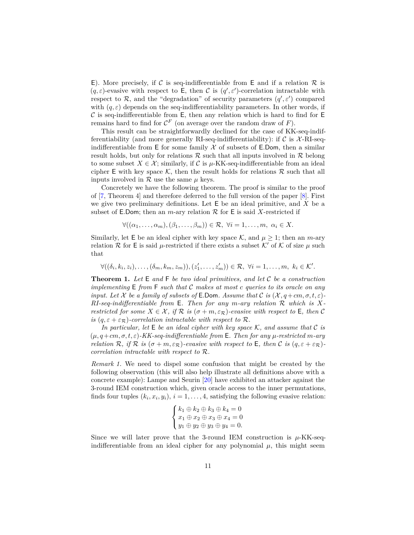E). More precisely, if C is seq-indifferentiable from E and if a relation  $\mathcal R$  is  $(q, \varepsilon)$ -evasive with respect to E, then C is  $(q', \varepsilon')$ -correlation intractable with respect to  $\mathcal{R}$ , and the "degradation" of security parameters  $(q', \varepsilon')$  compared with  $(q, \varepsilon)$  depends on the seq-indifferentiability parameters. In other words, if  $\mathcal C$  is seq-indifferentiable from E, then any relation which is hard to find for E remains hard to find for  $\mathcal{C}^F$  (on average over the random draw of  $F$ ).

This result can be straightforwardly declined for the case of KK-seq-indifferentiability (and more generally RI-seq-indifferentiability): if  $\mathcal C$  is  $\mathcal X$ -RI-seqindifferentiable from  $E$  for some family  $\mathcal X$  of subsets of  $E$ . Dom, then a similar result holds, but only for relations  $R$  such that all inputs involved in  $R$  belong to some subset  $X \in \mathcal{X}$ ; similarly, if C is  $\mu$ -KK-seq-indifferentiable from an ideal cipher E with key space K, then the result holds for relations  $\mathcal R$  such that all inputs involved in  $\mathcal R$  use the same  $\mu$  keys.

Concretely we have the following theorem. The proof is similar to the proof of [\[7,](#page-18-3) Theorem 4] and therefore deferred to the full version of the paper [\[8\]](#page-18-14). First we give two preliminary definitions. Let E be an ideal primitive, and *X* be a subset of E.Dom; then an *m*-ary relation  $R$  for E is said *X*-restricted if

$$
\forall ((\alpha_1,\ldots,\alpha_m),(\beta_1,\ldots,\beta_m))\in \mathcal{R},\ \forall i=1,\ldots,m,\ \alpha_i\in X.
$$

Similarly, let E be an ideal cipher with key space  $\mathcal{K}$ , and  $\mu \geq 1$ ; then an *m*-ary relation  $\mathcal R$  for **E** is said  $\mu$ -restricted if there exists a subset  $\mathcal K'$  of  $\mathcal K$  of size  $\mu$  such that

 $\forall ((\delta_i, k_i, z_i), \ldots, (\delta_m, k_m, z_m)), (z'_1, \ldots, z'_m)) \in \mathcal{R}, \ \forall i = 1, \ldots, m, \ k_i \in \mathcal{K}'.$ 

<span id="page-10-0"></span>**Theorem 1.** *Let* E *and* F *be two ideal primitives, and let* C *be a construction implementing* E *from* F *such that* C *makes at most c queries to its oracle on any input. Let* X *be a family of subsets of* E.Dom. Assume that C *is*  $(X, q + cm, \sigma, t, \varepsilon)$ *RI-seq-indifferentiable from* E*. Then for any m-ary relation* R *which is Xrestricted for some*  $X \in \mathcal{X}$ *, if*  $\mathcal{R}$  *is* ( $\sigma + m, \varepsilon_{\mathcal{R}}$ )*-evasive with respect to*  $\mathsf{E}$ *, then*  $\mathcal{C}$ *is*  $(q, \varepsilon + \varepsilon_R)$ -correlation intractable with respect to R.

*In particular, let* E *be an ideal cipher with key space* K*, and assume that* C *is* (*µ, q*+*cm, σ, t, ε*)*-KK-seq-indifferentiable from* E*. Then for any µ-restricted m-ary relation*  $\mathcal{R}$ *, if*  $\mathcal{R}$  *is* ( $\sigma + m, \varepsilon_{\mathcal{R}}$ )*-evasive with respect to*  $\mathsf{E}$ *, then*  $\mathcal{C}$  *is* ( $q, \varepsilon + \varepsilon_{\mathcal{R}}$ )*correlation intractable with respect to* R*.*

*Remark 1.* We need to dispel some confusion that might be created by the following observation (this will also help illustrate all definitions above with a concrete example): Lampe and Seurin [\[20\]](#page-19-8) have exhibited an attacker against the 3-round IEM construction which, given oracle access to the inner permutations, finds four tuples  $(k_i, x_i, y_i)$ ,  $i = 1, \ldots, 4$ , satisfying the following evasive relation:

$$
\begin{cases}\nk_1 \oplus k_2 \oplus k_3 \oplus k_4 = 0 \\
x_1 \oplus x_2 \oplus x_3 \oplus x_4 = 0 \\
y_1 \oplus y_2 \oplus y_3 \oplus y_4 = 0.\n\end{cases}
$$

Since we will later prove that the 3-round IEM construction is  $\mu$ -KK-seqindifferentiable from an ideal cipher for any polynomial  $\mu$ , this might seem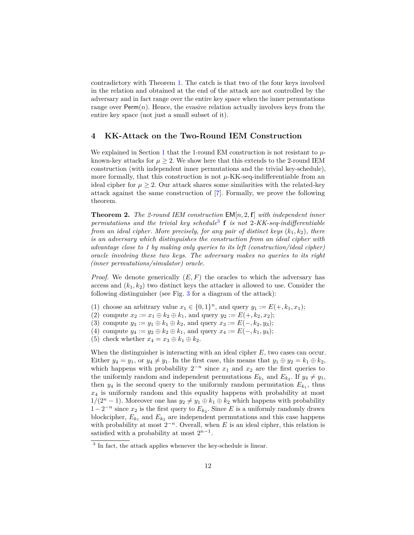contradictory with Theorem [1.](#page-10-0) The catch is that two of the four keys involved in the relation and obtained at the end of the attack are not controlled by the adversary and in fact range over the entire key space when the inner permutations range over  $\text{Perm}(n)$ . Hence, the evasive relation actually involves keys from the entire key space (not just a small subset of it).

## <span id="page-11-0"></span>**4 KK-Attack on the Two-Round IEM Construction**

We explained in Section [1](#page-0-0) that the 1-round EM construction is not resistant to *µ*known-key attacks for  $\mu > 2$ . We show here that this extends to the 2-round IEM construction (with independent inner permutations and the trivial key-schedule), more formally, that this construction is not  $\mu$ -KK-seq-indifferentiable from an ideal cipher for  $\mu > 2$ . Our attack shares some similarities with the related-key attack against the same construction of [\[7\]](#page-18-3). Formally, we prove the following theorem.

**Theorem 2.** *The 2-round IEM construction* EM[*n,* 2*,***f**] *with independent inner permutations and the trivial key schedule*[3](#page-11-1) **f** *is not* 2*-KK-seq-indifferentiable from an ideal cipher. More precisely, for any pair of distinct keys* (*k*1*, k*2)*, there is an adversary which distinguishes the construction from an ideal cipher with advantage close to 1 by making only queries to its left (construction/ideal cipher) oracle involving these two keys. The adversary makes no queries to its right (inner permutations/simulator) oracle.*

*Proof.* We denote generically  $(E, F)$  the oracles to which the adversary has access and  $(k_1, k_2)$  two distinct keys the attacker is allowed to use. Consider the following distinguisher (see Fig. [3](#page-13-1) for a diagram of the attack):

- (1) choose an arbitrary value  $x_1 \in \{0, 1\}^n$ , and query  $y_1 := E(+, k_1, x_1)$ ;
- (2) compute  $x_2 := x_1 \oplus k_2 \oplus k_1$ , and query  $y_2 := E(+, k_2, x_2)$ ;
- (3) compute  $y_3 := y_1 \oplus k_1 \oplus k_2$ , and query  $x_3 := E(-, k_2, y_3)$ ;
- (4) compute  $y_4 := y_2 \oplus k_2 \oplus k_1$ , and query  $x_4 := E(-, k_1, y_4)$ ;
- (5) check whether  $x_4 = x_3 \oplus k_1 \oplus k_2$ .

When the distinguisher is interacting with an ideal cipher *E*, two cases can occur. Either  $y_4 = y_1$ , or  $y_4 \neq y_1$ . In the first case, this means that  $y_1 \oplus y_2 = k_1 \oplus k_2$ , which happens with probability  $2^{-n}$  since  $x_1$  and  $x_2$  are the first queries to the uniformly random and independent permutations  $E_{k_1}$  and  $E_{k_2}$ . If  $y_4 \neq y_1$ , then  $y_4$  is the second query to the uniformly random permutation  $E_{k_1}$ , thus *x*<sup>4</sup> is uniformly random and this equality happens with probability at most  $1/(2^{n}-1)$ . Moreover one has  $y_2 \neq y_1 \oplus k_1 \oplus k_2$  which happens with probability  $1 - 2^{-n}$  since  $x_2$  is the first query to  $E_{k_2}$ . Since *E* is a uniformly randomly drawn blockcipher,  $E_{k_1}$  and  $E_{k_2}$  are independent permutations and this case happens with probability at most  $2^{-n}$ . Overall, when *E* is an ideal cipher, this relation is satisfied with a probability at most  $2^{n-1}$ .

<span id="page-11-1"></span><sup>&</sup>lt;sup>3</sup> In fact, the attack applies whenever the key-schedule is linear.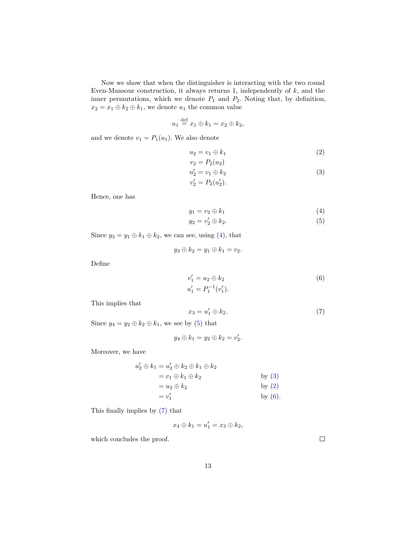Now we show that when the distinguisher is interacting with the two round Even-Mansour construction, it always returns 1, independently of *k*, and the inner permutations, which we denote *P*<sup>1</sup> and *P*2. Noting that, by definition,  $x_2 = x_1 \oplus k_2 \oplus k_1$ , we denote  $u_1$  the common value

$$
u_1 \stackrel{\text{def}}{=} x_1 \oplus k_1 = x_2 \oplus k_2,
$$

and we denote  $v_1 = P_1(u_1)$ . We also denote

<span id="page-12-3"></span>
$$
u_2 = v_1 \oplus k_1
$$

$$
v_0 = P_0(u_0)
$$
 (2)

<span id="page-12-2"></span>
$$
v_2 = r_2(u_2)
$$
  
\n
$$
u'_2 = v_1 \oplus k_2
$$
  
\n
$$
v'_2 = P_2(u'_2).
$$
\n(3)

Hence, one has

<span id="page-12-1"></span><span id="page-12-0"></span>
$$
y_1 = v_2 \oplus k_1 \tag{4}
$$

$$
y_2 = v_2' \oplus k_2. \tag{5}
$$

Since  $y_3 = y_1 \oplus k_1 \oplus k_2$ , we can see, using [\(4\)](#page-12-0), that

$$
y_3 \oplus k_2 = y_1 \oplus k_1 = v_2.
$$

Define

<span id="page-12-4"></span>
$$
v'_1 = u_2 \oplus k_2
$$
  
\n
$$
u'_1 = P_1^{-1}(v'_1).
$$
\n(6)

This implies that

<span id="page-12-5"></span>
$$
x_3 = u'_1 \oplus k_2. \tag{7}
$$

Since  $y_4 = y_2 \oplus k_2 \oplus k_1$ , we see by [\(5\)](#page-12-1) that

$$
y_4 \oplus k_1 = y_2 \oplus k_2 = v_2'.
$$

Moreover, we have

$$
u'_2 \oplus k_1 = u'_2 \oplus k_2 \oplus k_1 \oplus k_2
$$
  
=  $v_1 \oplus k_1 \oplus k_2$  by (3)  
=  $u_2 \oplus k_2$  by (2)  
=  $v'_1$  by (6).

This finally implies by [\(7\)](#page-12-5) that

$$
x_4 \oplus k_1 = u'_1 = x_3 \oplus k_2,
$$

which concludes the proof.

 $\hfill \square$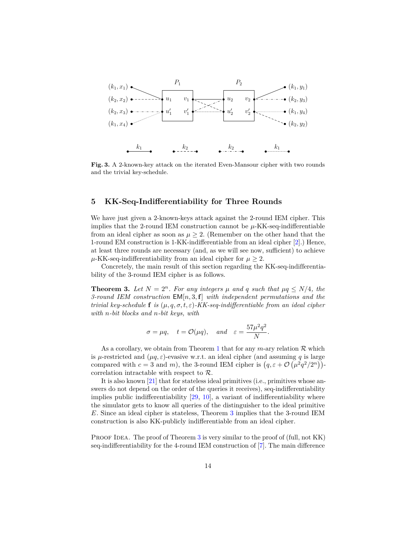

<span id="page-13-1"></span>**Fig. 3.** A 2-known-key attack on the iterated Even-Mansour cipher with two rounds and the trivial key-schedule.

## <span id="page-13-0"></span>**5 KK-Seq-Indifferentiability for Three Rounds**

We have just given a 2-known-keys attack against the 2-round IEM cipher. This implies that the 2-round IEM construction cannot be  $\mu$ -KK-seq-indifferentiable from an ideal cipher as soon as  $\mu \geq 2$ . (Remember on the other hand that the 1-round EM construction is 1-KK-indifferentiable from an ideal cipher [\[2\]](#page-17-0).) Hence, at least three rounds are necessary (and, as we will see now, sufficient) to achieve  $\mu$ -KK-seq-indifferentiability from an ideal cipher for  $\mu \geq 2$ .

Concretely, the main result of this section regarding the KK-seq-indifferentiability of the 3-round IEM cipher is as follows.

<span id="page-13-2"></span>**Theorem 3.** Let  $N = 2^n$ . For any integers  $\mu$  and  $q$  such that  $\mu q \leq N/4$ , the *3-round IEM construction* EM[*n,* 3*,***f**] *with independent permutations and the trivial key-schedule* **f** *is* (*µ, q, σ, t, ε*)*-KK-seq-indifferentiable from an ideal cipher with n-bit blocks and n-bit keys, with*

$$
\sigma = \mu q
$$
,  $t = \mathcal{O}(\mu q)$ , and  $\varepsilon = \frac{57\mu^2 q^2}{N}$ .

As a corollary, we obtain from Theorem [1](#page-10-0) that for any  $m$ -ary relation  $\mathcal R$  which is  $\mu$ -restricted and  $(\mu q, \varepsilon)$ -evasive w.r.t. an ideal cipher (and assuming *q* is large compared with  $c = 3$  and *m*), the 3-round IEM cipher is  $(q, \varepsilon + \mathcal{O}(\mu^2 q^2 / 2^n))$ correlation intractable with respect to R.

It is also known [\[21\]](#page-19-7) that for stateless ideal primitives (i.e., primitives whose answers do not depend on the order of the queries it receives), seq-indifferentiability implies public indifferentiability  $[29, 10]$  $[29, 10]$  $[29, 10]$ , a variant of indifferentiability where the simulator gets to know all queries of the distinguisher to the ideal primitive *E*. Since an ideal cipher is stateless, Theorem [3](#page-13-2) implies that the 3-round IEM construction is also KK-publicly indifferentiable from an ideal cipher.

PROOF IDEA. The proof of Theorem [3](#page-13-2) is very similar to the proof of (full, not KK) seq-indifferentiability for the 4-round IEM construction of [\[7\]](#page-18-3). The main difference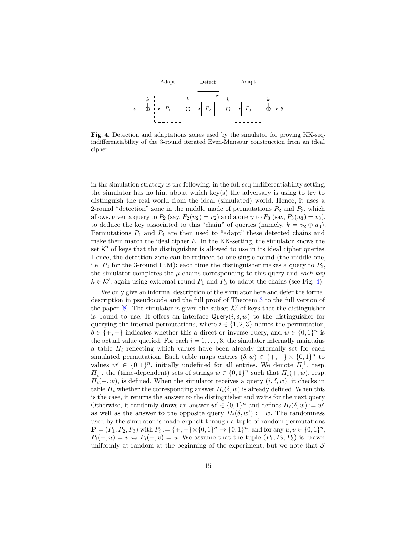

<span id="page-14-0"></span>**Fig. 4.** Detection and adaptations zones used by the simulator for proving KK-seqindifferentiability of the 3-round iterated Even-Mansour construction from an ideal cipher.

in the simulation strategy is the following: in the full seq-indifferentiability setting, the simulator has no hint about which key(s) the adversary is using to try to distinguish the real world from the ideal (simulated) world. Hence, it uses a 2-round "detection" zone in the middle made of permutations  $P_2$  and  $P_3$ , which allows, given a query to  $P_2$  (say,  $P_2(u_2) = v_2$ ) and a query to  $P_3$  (say,  $P_3(u_3) = v_3$ ), to deduce the key associated to this "chain" of queries (namely,  $k = v_2 \oplus u_3$ ). Permutations  $P_1$  and  $P_4$  are then used to "adapt" these detected chains and make them match the ideal cipher *E*. In the KK-setting, the simulator knows the set  $K'$  of keys that the distinguisher is allowed to use in its ideal cipher queries. Hence, the detection zone can be reduced to one single round (the middle one, i.e.  $P_2$  for the 3-round IEM): each time the distinguisher makes a query to  $P_2$ , the simulator completes the  $\mu$  chains corresponding to this query and *each key*  $k \in \mathcal{K}'$ , again using extremal round  $P_1$  and  $P_3$  to adapt the chains (see Fig. [4\)](#page-14-0).

We only give an informal description of the simulator here and defer the formal description in pseudocode and the full proof of Theorem [3](#page-13-2) to the full version of the paper  $[8]$ . The simulator is given the subset K' of keys that the distinguisher is bound to use. It offers an interface  $\mathsf{Query}(i, \delta, w)$  to the distinguisher for querying the internal permutations, where  $i \in \{1, 2, 3\}$  names the permutation,  $\delta \in \{+, -\}$  indicates whether this a direct or inverse query, and  $w \in \{0, 1\}^n$  is the actual value queried. For each  $i = 1, \ldots, 3$ , the simulator internally maintains a table  $\Pi_i$  reflecting which values have been already internally set for each simulated permutation. Each table maps entries  $(\delta, w) \in \{+, -\} \times \{0, 1\}^n$  to values  $w' \in \{0,1\}^n$ , initially undefined for all entries. We denote  $\Pi_i^+$ , resp.  $\Pi_i^-$ , the (time-dependent) sets of strings  $w \in \{0,1\}^n$  such that  $\Pi_i(+, w)$ , resp.  $\Pi_i(-, w)$ , is defined. When the simulator receives a query  $(i, \delta, w)$ , it checks in table  $\Pi_i$  whether the corresponding answer  $\Pi_i(\delta, w)$  is already defined. When this is the case, it returns the answer to the distinguisher and waits for the next query. Otherwise, it randomly draws an answer  $w' \in \{0,1\}^n$  and defines  $\Pi_i(\delta, w) := w'$ as well as the answer to the opposite query  $H_i(\vec{\delta}, w') := w$ . The randomness used by the simulator is made explicit through a tuple of random permutations **P** =  $(P_1, P_2, P_3)$  with  $P_i := \{+, -\} \times \{0, 1\}^n \rightarrow \{0, 1\}^n$ , and for any  $u, v \in \{0, 1\}^n$ ,  $P_i(+, u) = v \Leftrightarrow P_i(-, v) = u$ . We assume that the tuple  $(P_1, P_2, P_3)$  is drawn uniformly at random at the beginning of the experiment, but we note that  $\mathcal S$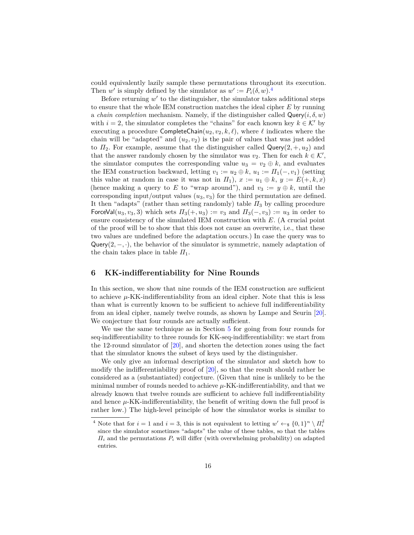could equivalently lazily sample these permutations throughout its execution. Then *w'* is simply defined by the simulator as  $w' := P_i(\delta, w)$ .

Before returning  $w'$  to the distinguisher, the simulator takes additional steps to ensure that the whole IEM construction matches the ideal cipher *E* by running a *chain completion* mechanism. Namely, if the distinguisher called  $\mathsf{Query}(i, \delta, w)$ with  $i = 2$ , the simulator completes the "chains" for each known key  $k \in \mathcal{K}'$  by executing a procedure CompleteChain $(u_2, v_2, k, \ell)$ , where  $\ell$  indicates where the chain will be "adapted" and  $(u_2, v_2)$  is the pair of values that was just added to  $\Pi_2$ . For example, assume that the distinguisher called  $\mathsf{Query}(2, +, u_2)$  and that the answer randomly chosen by the simulator was  $v_2$ . Then for each  $k \in \mathcal{K}'$ , the simulator computes the corresponding value  $u_3 = v_2 \oplus k$ , and evaluates the IEM construction backward, letting  $v_1 := u_2 \oplus k$ ,  $u_1 := \prod_1(-, v_1)$  (setting this value at random in case it was not in  $\Pi_1$ ,  $x := u_1 \oplus k$ ,  $y := E(+, k, x)$ (hence making a query to *E* to "wrap around"), and  $v_3 := y \oplus k$ , until the corresponding input/output values  $(u_3, v_3)$  for the third permutation are defined. It then "adapts" (rather than setting randomly) table  $\Pi_3$  by calling procedure ForceVal( $u_3, v_3, 3$ ) which sets  $\Pi_3(+, u_3) := v_3$  and  $\Pi_3(-, v_3) := u_3$  in order to ensure consistency of the simulated IEM construction with *E*. (A crucial point of the proof will be to show that this does not cause an overwrite, i.e., that these two values are undefined before the adaptation occurs.) In case the query was to Query $(2, -, \cdot)$ , the behavior of the simulator is symmetric, namely adaptation of the chain takes place in table  $\Pi_1$ .

# <span id="page-15-0"></span>**6 KK-indifferentiability for Nine Rounds**

In this section, we show that nine rounds of the IEM construction are sufficient to achieve *µ*-KK-indifferentiability from an ideal cipher. Note that this is less than what is currently known to be sufficient to achieve full indifferentiability from an ideal cipher, namely twelve rounds, as shown by Lampe and Seurin [\[20\]](#page-19-8). We conjecture that four rounds are actually sufficient.

We use the same technique as in Section [5](#page-13-0) for going from four rounds for seq-indifferentiability to three rounds for KK-seq-indifferentiability: we start from the 12-round simulator of [\[20\]](#page-19-8), and shorten the detection zones using the fact that the simulator knows the subset of keys used by the distinguisher.

We only give an informal description of the simulator and sketch how to modify the indifferentiability proof of  $[20]$ , so that the result should rather be considered as a (substantiated) conjecture. (Given that nine is unlikely to be the minimal number of rounds needed to achieve  $\mu$ -KK-indifferentiability, and that we already known that twelve rounds are sufficient to achieve full indifferentiability and hence  $\mu$ -KK-indifferentiability, the benefit of writing down the full proof is rather low.) The high-level principle of how the simulator works is similar to

<span id="page-15-1"></span><sup>&</sup>lt;sup>4</sup> Note that for  $i = 1$  and  $i = 3$ , this is not equivalent to letting  $w' \leftarrow_{\S} \{0,1\}^n \setminus \Pi_i^{\bar{\delta}}$ since the simulator sometimes "adapts" the value of these tables, so that the tables  $\Pi_i$  and the permutations  $P_i$  will differ (with overwhelming probability) on adapted entries.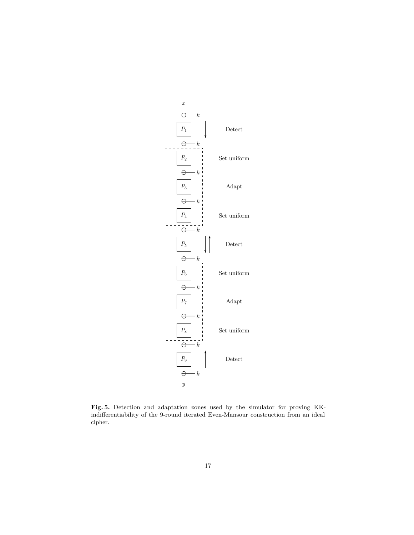

**Fig. 5.** Detection and adaptation zones used by the simulator for proving KKindifferentiability of the 9-round iterated Even-Mansour construction from an ideal cipher.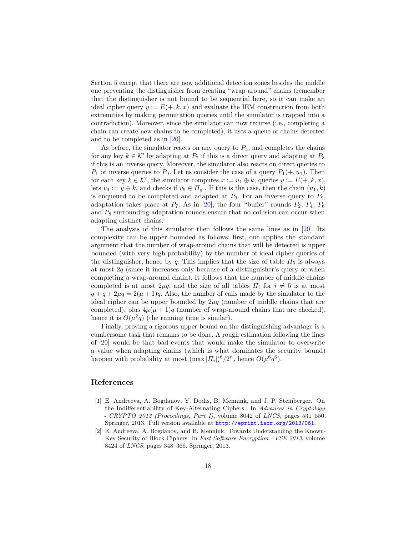Section [5](#page-13-0) except that there are now additional detection zones besides the middle one preventing the distinguisher from creating "wrap around" chains (remember that the distinguisher is not bound to be sequential here, so it can make an ideal cipher query  $y := E(+, k, x)$  and evaluate the IEM construction from both extremities by making permutation queries until the simulator is trapped into a contradiction). Moreover, since the simulator can now recurse (i.e., completing a chain can create new chains to be completed), it uses a queue of chains detected and to be completed as in [\[20\]](#page-19-8).

As before, the simulator reacts on any query to  $P_5$ , and completes the chains for any key  $k \in \mathcal{K}'$  by adapting at  $P_7$  if this is a direct query and adapting at  $P_3$ if this is an inverse query. Moreover, the simulator also reacts on direct queries to  $P_1$  or inverse queries to  $P_9$ . Let us consider the case of a query  $P_1(+, u_1)$ . Then for each key  $k \in \mathcal{K}'$ , the simulator computes  $x := u_1 \oplus k$ , queries  $y := E(+, k, x)$ , lets  $v_9 := y \oplus k$ , and checks if  $v_9 \in \overline{H_9}$ . If this is the case, then the chain  $(u_1, k)$ is enqueued to be completed and adapted at  $P_3$ . For an inverse query to  $P_9$ , adaptation takes place at  $P_7$ . As in [\[20\]](#page-19-8), the four "buffer" rounds  $P_2$ ,  $P_4$ ,  $P_6$ and  $P_8$  surrounding adaptation rounds ensure that no collision can occur when adapting distinct chains.

The analysis of this simulator then follows the same lines as in [\[20\]](#page-19-8). Its complexity can be upper bounded as follows: first, one applies the standard argument that the number of wrap-around chains that will be detected is upper bounded (with very high probability) by the number of ideal cipher queries of the distinguisher, hence by *q*. This implies that the size of table  $\Pi_5$  is always at most 2*q* (since it increases only because of a distinguisher's query or when completing a wrap-around chain). It follows that the number of middle chains completed is at most  $2\mu q$ , and the size of all tables  $\Pi_i$  for  $i \neq 5$  is at most  $q + q + 2\mu q = 2(\mu + 1)q$ . Also, the number of calls made by the simulator to the ideal cipher can be upper bounded by 2*µq* (number of middle chains that are completed), plus  $4\mu(\mu+1)q$  (number of wrap-around chains that are checked), hence it is  $O(\mu^2 q)$  (the running time is similar).

Finally, proving a rigorous upper bound on the distinguishing advantage is a cumbersome task that remains to be done. A rough estimation following the lines of [\[20\]](#page-19-8) would be that bad events that would make the simulator to overwrite a value when adapting chains (which is what dominates the security bound) happen with probability at most  $(\max |H_i|)^6/2^n$ , hence  $O(\mu^6 q^6)$ .

# **References**

- <span id="page-17-1"></span>[1] E. Andreeva, A. Bogdanov, Y. Dodis, B. Mennink, and J. P. Steinberger. On the Indifferentiability of Key-Alternating Ciphers. In *Advances in Cryptology - CRYPTO 2013 (Proceedings, Part I)*, volume 8042 of *LNCS*, pages 531–550. Springer, 2013. Full version available at <http://eprint.iacr.org/2013/061>.
- <span id="page-17-0"></span>[2] E. Andreeva, A. Bogdanov, and B. Mennink. Towards Understanding the Known-Key Security of Block Ciphers. In *Fast Software Encryption - FSE 2013*, volume 8424 of *LNCS*, pages 348–366. Springer, 2013.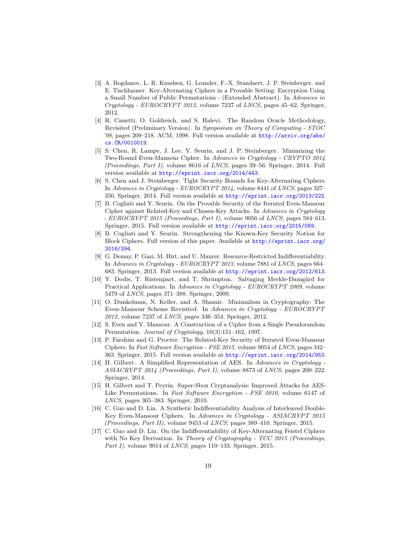- <span id="page-18-10"></span>[3] A. Bogdanov, L. R. Knudsen, G. Leander, F.-X. Standaert, J. P. Steinberger, and E. Tischhauser. Key-Alternating Ciphers in a Provable Setting: Encryption Using a Small Number of Public Permutations - (Extended Abstract). In *Advances in Cryptology - EUROCRYPT 2012*, volume 7237 of *LNCS*, pages 45–62. Springer, 2012.
- <span id="page-18-2"></span>[4] R. Canetti, O. Goldreich, and S. Halevi. The Random Oracle Methodology, Revisited (Preliminary Version). In *Symposium on Theory of Computing - STOC '98*, pages 209–218. ACM, 1998. Full version available at [http://arxiv.org/abs/](http://arxiv.org/abs/cs.CR/0010019) [cs.CR/0010019](http://arxiv.org/abs/cs.CR/0010019).
- <span id="page-18-8"></span>[5] S. Chen, R. Lampe, J. Lee, Y. Seurin, and J. P. Steinberger. Minimizing the Two-Round Even-Mansour Cipher. In *Advances in Cryptology - CRYPTO 2014 (Proceedings, Part I)*, volume 8616 of *LNCS*, pages 39–56. Springer, 2014. Full version available at <http://eprint.iacr.org/2014/443>.
- <span id="page-18-11"></span>[6] S. Chen and J. Steinberger. Tight Security Bounds for Key-Alternating Ciphers. In *Advances in Cryptology - EUROCRYPT 2014*, volume 8441 of *LNCS*, pages 327– 350. Springer, 2014. Full version available at <http://eprint.iacr.org/2013/222>.
- <span id="page-18-3"></span>[7] B. Cogliati and Y. Seurin. On the Provable Security of the Iterated Even-Mansour Cipher against Related-Key and Chosen-Key Attacks. In *Advances in Cryptology - EUROCRYPT 2015 (Proceedings, Part I)*, volume 9056 of *LNCS*, pages 584–613. Springer, 2015. Full version available at <http://eprint.iacr.org/2015/069>.
- <span id="page-18-14"></span>[8] B. Cogliati and Y. Seurin. Strengthening the Known-Key Security Notion for Block Ciphers. Full version of this paper. Available at [http://eprint.iacr.org/](http://eprint.iacr.org/2016/394) [2016/394](http://eprint.iacr.org/2016/394).
- <span id="page-18-13"></span>[9] G. Demay, P. Gazi, M. Hirt, and U. Maurer. Resource-Restricted Indifferentiability. In *Advances in Cryptology - EUROCRYPT 2013*, volume 7881 of *LNCS*, pages 664– 683. Springer, 2013. Full version available at <http://eprint.iacr.org/2012/613>.
- <span id="page-18-12"></span>[10] Y. Dodis, T. Ristenpart, and T. Shrimpton. Salvaging Merkle-Damgård for Practical Applications. In *Advances in Cryptology - EUROCRYPT 2009*, volume 5479 of *LNCS*, pages 371–388. Springer, 2009.
- <span id="page-18-5"></span>[11] O. Dunkelman, N. Keller, and A. Shamir. Minimalism in Cryptography: The Even-Mansour Scheme Revisited. In *Advances in Cryptology - EUROCRYPT 2012*, volume 7237 of *LNCS*, pages 336–354. Springer, 2012.
- <span id="page-18-4"></span>[12] S. Even and Y. Mansour. A Construction of a Cipher from a Single Pseudorandom Permutation. *Journal of Cryptology*, 10(3):151–162, 1997.
- <span id="page-18-9"></span>[13] P. Farshim and G. Procter. The Related-Key Security of Iterated Even-Mansour Ciphers. In *Fast Software Encryption - FSE 2015*, volume 9054 of *LNCS*, pages 342– 363. Springer, 2015. Full version available at <http://eprint.iacr.org/2014/953>.
- <span id="page-18-1"></span>[14] H. Gilbert. A Simplified Representation of AES. In *Advances in Cryptology - ASIACRYPT 2014 (Proceedings, Part I)*, volume 8873 of *LNCS*, pages 200–222. Springer, 2014.
- <span id="page-18-0"></span>[15] H. Gilbert and T. Peyrin. Super-Sbox Cryptanalysis: Improved Attacks for AES-Like Permutations. In *Fast Software Encryption - FSE 2010*, volume 6147 of *LNCS*, pages 365–383. Springer, 2010.
- <span id="page-18-6"></span>[16] C. Guo and D. Lin. A Synthetic Indifferentiability Analysis of Interleaved Double-Key Even-Mansour Ciphers. In *Advances in Cryptology - ASIACRYPT 2015 (Proceedings, Part II)*, volume 9453 of *LNCS*, pages 389–410. Springer, 2015.
- <span id="page-18-7"></span>[17] C. Guo and D. Lin. On the Indifferentiability of Key-Alternating Feistel Ciphers with No Key Derivation. In *Theory of Cryptography - TCC 2015 (Proceedings, Part I)*, volume 9014 of *LNCS*, pages 110–133. Springer, 2015.